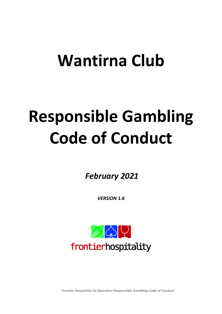# Wantirna Club

# Responsible Gambling Code of Conduct

February 2021

VERSION 1.6



Frontier Hospitality Co Operative Responsible Gambling Code of Conduct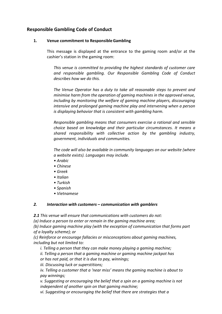# Responsible Gambling Code of Conduct

#### 1. Venue commitment to Responsible Gambling

This message is displayed at the entrance to the gaming room and/or at the cashier's station in the gaming room:

This venue is committed to providing the highest standards of customer care and responsible gambling. Our Responsible Gambling Code of Conduct describes how we do this.

The Venue Operator has a duty to take all reasonable steps to prevent and minimise harm from the operation of gaming machines in the approved venue, including by monitoring the welfare of gaming machine players, discouraging intensive and prolonged gaming machine play and intervening when a person is displaying behavior that is consistent with gambling harm.

Responsible gambling means that consumers exercise a rational and sensible choice based on knowledge and their particular circumstances. It means a shared responsibility with collective action by the gambling industry, government, individuals and communities.

The code will also be available in community languages on our website (where a website exists). Languages may include.

- Arabic
- Chinese
- Greek
- Italian
- Turkish
- Spanish
- Vietnamese

# 2. Interaction with customers – communication with gamblers

2.1 This venue will ensure that communications with customers do not:

(a) Induce a person to enter or remain in the gaming machine area;

(b) Induce gaming machine play (with the exception of communication that forms part of a loyalty scheme); or

(c) Reinforce or encourage fallacies or misconceptions about gaming machines, including but not limited to:

i. Telling a person that they can make money playing a gaming machine;

ii. Telling a person that a gaming machine or gaming machine jackpot has or has not paid, or that it is due to pay, winnings;

iii. Discussing luck or superstitions;

iv. Telling a customer that a 'near miss' means the gaming machine is about to pay winnings;

v. Suggesting or encouraging the belief that a spin on a gaming machine is not independent of another spin on that gaming machine;

vi. Suggesting or encouraging the belief that there are strategies that a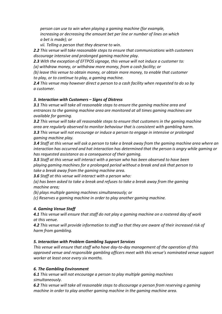person can use to win when playing a gaming machine (for example, increasing or decreasing the amount bet per line or number of lines on which a bet is made); or

vii. Telling a person that they deserve to win.

2.2 This venue will take reasonable steps to ensure that communications with customers discourage intensive and prolonged gaming machine play.

2.3 With the exception of EFTPOS signage, this venue will not induce a customer to:

(a) withdraw money, or withdraw more money, from a cash facility; or

(b) leave this venue to obtain money, or obtain more money, to enable that customer to play, or to continue to play, a gaming machine.

2.4 This venue may however direct a person to a cash facility when requested to do so by a customer.

#### 3. Interaction with Customers – Signs of Distress

**3.1** This venue will take all reasonable steps to ensure the gaming machine area and entrances to the gaming machine area are monitored at all times gaming machines are available for gaming.

**3.2** This venue will take all reasonable steps to ensure that customers in the gaming machine area are regularly observed to monitor behaviour that is consistent with gambling harm. 3.3 This venue will not encourage or induce a person to engage in intensive or prolonged gaming machine play.

**3.4** Staff at this venue will ask a person to take a break away from the gaming machine area where an interaction has occurred and hat interaction has determined that the person is angry while gaming or has requested assistance as a consequence of their gaming.

**3.5** Staff at this venue will interact with a person who has been observed to have been playing gaming machines for a prolonged period without a break and ask that person to take a break away from the gaming machine area.

3.6 Staff at this venue will interact with a person who:

(a) has been asked to take a break and refuses to take a break away from the gaming machine area;

(b) plays multiple gaming machines simultaneously; or

(c) Reserves a gaming machine in order to play another gaming machine.

# 4. Gaming Venue Staff

4.1 This venue will ensure that staff do not play a gaming machine on a rostered day of work at this venue.

**4.2** This venue will provide information to staff so that they are aware of their increased risk of harm from gambling.

# 5. Interaction with Problem Gambling Support Services

This venue will ensure that staff who have day-to-day management of the operation of this approved venue and responsible gambling officers meet with this venue's nominated venue support worker at least once every six months.

# 6. The Gambling Environment

6.1 This venue will not encourage a person to play multiple gaming machines simultaneously.

**6.2** This venue will take all reasonable steps to discourage a person from reserving a gaming machine in order to play another gaming machine in the gaming machine area.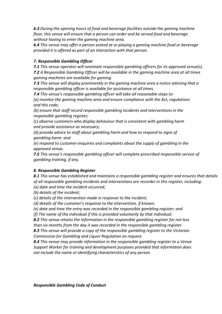6.3 During the opening hours of food and beverage facilities outside the gaming machine floor, this venue will ensure that a person can order and be served food and beverage without having to enter the gaming machine area.

6.4 This venue may offer a person seated at or playing a gaming machine food or beverage provided it is offered as part of an interaction with that person.

#### 7. Responsible Gambling Officer

7.1 This venue operator will nominate responsible gambling officers for its approved venue(s). 7.2 A Responsible Gambling Officer will be available in the gaming machine area at all times gaming machines are available for gaming.

7.3 This venue will display prominently in the gaming machine area a notice advising that a responsible gambling officer is available for assistance at all times.

7.4 This venue's responsible gambling officer will take all reasonable steps to:

(a) monitor the gaming machine area and ensure compliance with the Act, regulations and this code;

(b) ensure that staff record responsible gambling incidents and interventions in the responsible gambling register;

(c) observe customers who display behaviour that is consistent with gambling harm and provide assistance as necessary;

(d) provide advice to staff about gambling harm and how to respond to signs of gambling harm: and

(e) respond to customer enquiries and complaints about the supply of gambling in the approved venue.

7.5 This venue's responsible gambling officer will complete prescribed responsible service of gambling training, if any.

#### 8. Responsible Gambling Register

8.1 This venue has established and maintains a responsible gambling register and ensures that details of all responsible gambling incidents and interventions are recorder in this register, including:

(a) date and time the incident occurred;

(b) details of the incident;

(c) details of the intervention made in response to the incident;

(d) details of the customer's response to the intervention, if known;

(e) date and time the entry was recorded in the responsible gambling register; and

(f) The name of the individual if this is provided voluntarily by that individual.

8.2 This venue retains the information in the responsible gambling register for not less than six months from the day it was recorded in the responsible gambling register.

8.3 This venue will provide a copy of the responsible gambling register to the Victorian Commission for Gambling and Liquor Regulation on request.

8.4 This venue may provide information in the responsible gambling register to a Venue Support Worker for training and development purposes provided that information does not include the name or identifying characteristics of any person.